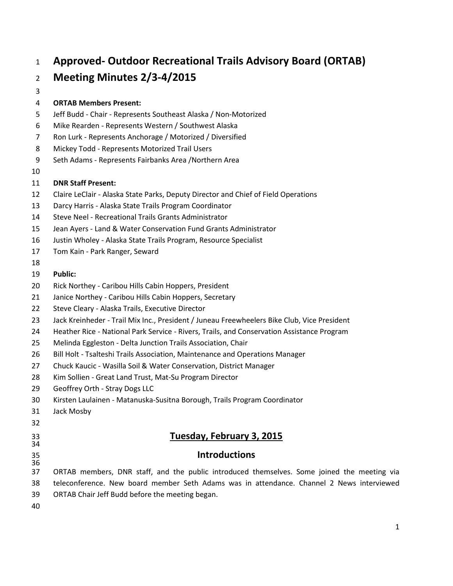# **Approved- Outdoor Recreational Trails Advisory Board (ORTAB)**

# **Meeting Minutes 2/3-4/2015**

#### 

#### **ORTAB Members Present:**

- Jeff Budd Chair Represents Southeast Alaska / Non-Motorized
- Mike Rearden Represents Western / Southwest Alaska
- Ron Lurk Represents Anchorage / Motorized / Diversified
- Mickey Todd Represents Motorized Trail Users
- Seth Adams Represents Fairbanks Area /Northern Area
- 

#### **DNR Staff Present:**

- Claire LeClair Alaska State Parks, Deputy Director and Chief of Field Operations
- Darcy Harris Alaska State Trails Program Coordinator
- Steve Neel Recreational Trails Grants Administrator
- Jean Ayers Land & Water Conservation Fund Grants Administrator
- Justin Wholey Alaska State Trails Program, Resource Specialist
- Tom Kain Park Ranger, Seward
- 

#### **Public:**

- Rick Northey Caribou Hills Cabin Hoppers, President
- Janice Northey Caribou Hills Cabin Hoppers, Secretary
- Steve Cleary Alaska Trails, Executive Director
- Jack Kreinheder Trail Mix Inc., President / Juneau Freewheelers Bike Club, Vice President
- Heather Rice National Park Service Rivers, Trails, and Conservation Assistance Program
- Melinda Eggleston Delta Junction Trails Association, Chair
- 26 Bill Holt Tsalteshi Trails Association, Maintenance and Operations Manager
- Chuck Kaucic Wasilla Soil & Water Conservation, District Manager
- Kim Sollien Great Land Trust, Mat-Su Program Director
- Geoffrey Orth Stray Dogs LLC
- Kirsten Laulainen Matanuska-Susitna Borough, Trails Program Coordinator
- Jack Mosby
- 

## **Tuesday, February 3, 2015**

## **Introductions**

- ORTAB members, DNR staff, and the public introduced themselves. Some joined the meeting via teleconference. New board member Seth Adams was in attendance. Channel 2 News interviewed
- ORTAB Chair Jeff Budd before the meeting began.
-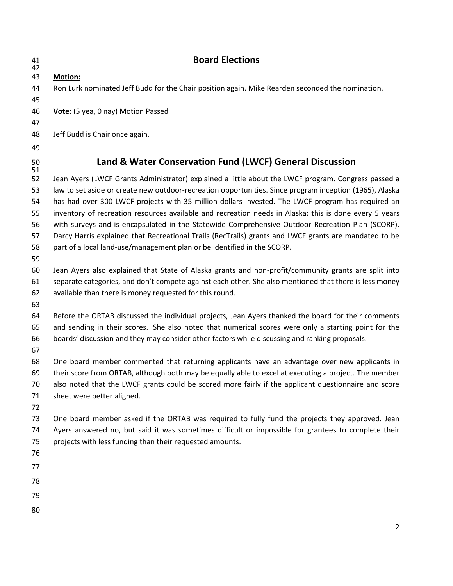| 41<br>42 | <b>Board Elections</b>                                                                                  |
|----------|---------------------------------------------------------------------------------------------------------|
| 43       | <b>Motion:</b>                                                                                          |
| 44       | Ron Lurk nominated Jeff Budd for the Chair position again. Mike Rearden seconded the nomination.        |
| 45       |                                                                                                         |
| 46       | Vote: (5 yea, 0 nay) Motion Passed                                                                      |
| 47       |                                                                                                         |
| 48       | Jeff Budd is Chair once again.                                                                          |
| 49       |                                                                                                         |
| 50<br>51 | Land & Water Conservation Fund (LWCF) General Discussion                                                |
| 52       | Jean Ayers (LWCF Grants Administrator) explained a little about the LWCF program. Congress passed a     |
| 53       | law to set aside or create new outdoor-recreation opportunities. Since program inception (1965), Alaska |
| 54       | has had over 300 LWCF projects with 35 million dollars invested. The LWCF program has required an       |
| 55       | inventory of recreation resources available and recreation needs in Alaska; this is done every 5 years  |
| 56       | with surveys and is encapsulated in the Statewide Comprehensive Outdoor Recreation Plan (SCORP).        |
| 57       | Darcy Harris explained that Recreational Trails (RecTrails) grants and LWCF grants are mandated to be   |
| 58<br>59 | part of a local land-use/management plan or be identified in the SCORP.                                 |
| 60       | Jean Ayers also explained that State of Alaska grants and non-profit/community grants are split into    |
| 61       | separate categories, and don't compete against each other. She also mentioned that there is less money  |
| 62       | available than there is money requested for this round.                                                 |
| 63       |                                                                                                         |
| 64       | Before the ORTAB discussed the individual projects, Jean Ayers thanked the board for their comments     |
| 65       | and sending in their scores. She also noted that numerical scores were only a starting point for the    |
| 66       | boards' discussion and they may consider other factors while discussing and ranking proposals.          |
| 67       |                                                                                                         |
| 68       | One board member commented that returning applicants have an advantage over new applicants in           |
| 69       | their score from ORTAB, although both may be equally able to excel at executing a project. The member   |
| 70       | also noted that the LWCF grants could be scored more fairly if the applicant questionnaire and score    |
| 71<br>72 | sheet were better aligned.                                                                              |
| 73       | One board member asked if the ORTAB was required to fully fund the projects they approved. Jean         |
| 74       | Ayers answered no, but said it was sometimes difficult or impossible for grantees to complete their     |
| 75       | projects with less funding than their requested amounts.                                                |
| 76       |                                                                                                         |
| 77       |                                                                                                         |
| 78       |                                                                                                         |
| 79       |                                                                                                         |
| 80       |                                                                                                         |
|          |                                                                                                         |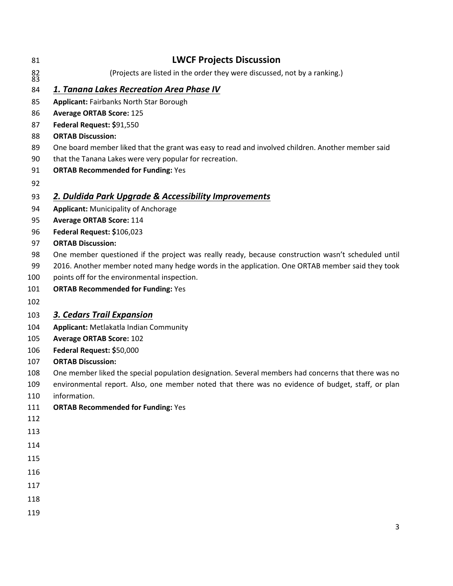| 81                                      | <b>LWCF Projects Discussion</b>                                                                     |
|-----------------------------------------|-----------------------------------------------------------------------------------------------------|
| $\begin{array}{c} 82 \\ 83 \end{array}$ | (Projects are listed in the order they were discussed, not by a ranking.)                           |
| 84                                      | 1. Tanana Lakes Recreation Area Phase IV                                                            |
| 85                                      | <b>Applicant: Fairbanks North Star Borough</b>                                                      |
| 86                                      | <b>Average ORTAB Score: 125</b>                                                                     |
| 87                                      | Federal Request: \$91,550                                                                           |
| 88                                      | <b>ORTAB Discussion:</b>                                                                            |
| 89                                      | One board member liked that the grant was easy to read and involved children. Another member said   |
| 90                                      | that the Tanana Lakes were very popular for recreation.                                             |
| 91                                      | <b>ORTAB Recommended for Funding: Yes</b>                                                           |
| 92                                      |                                                                                                     |
| 93                                      | 2. Duldida Park Upgrade & Accessibility Improvements                                                |
| 94                                      | <b>Applicant: Municipality of Anchorage</b>                                                         |
| 95                                      | <b>Average ORTAB Score: 114</b>                                                                     |
| 96                                      | Federal Request: \$106,023                                                                          |
| 97                                      | <b>ORTAB Discussion:</b>                                                                            |
| 98                                      | One member questioned if the project was really ready, because construction wasn't scheduled until  |
| 99                                      | 2016. Another member noted many hedge words in the application. One ORTAB member said they took     |
| 100                                     | points off for the environmental inspection.                                                        |
| 101                                     | <b>ORTAB Recommended for Funding: Yes</b>                                                           |
| 102                                     |                                                                                                     |
| 103                                     | <b>3. Cedars Trail Expansion</b>                                                                    |
| 104                                     | Applicant: Metlakatla Indian Community                                                              |
| 105                                     | <b>Average ORTAB Score: 102</b>                                                                     |
| 106                                     | Federal Request: \$50,000                                                                           |
| 107                                     | <b>ORTAB Discussion:</b>                                                                            |
| 108                                     | One member liked the special population designation. Several members had concerns that there was no |
| 109                                     | environmental report. Also, one member noted that there was no evidence of budget, staff, or plan   |
| 110                                     | information.                                                                                        |
| 111                                     | <b>ORTAB Recommended for Funding: Yes</b>                                                           |
| 112                                     |                                                                                                     |
| 113                                     |                                                                                                     |
| 114                                     |                                                                                                     |
| 115                                     |                                                                                                     |
| 116                                     |                                                                                                     |
| 117                                     |                                                                                                     |
| 118                                     |                                                                                                     |
| 119                                     |                                                                                                     |
|                                         |                                                                                                     |
|                                         | 3                                                                                                   |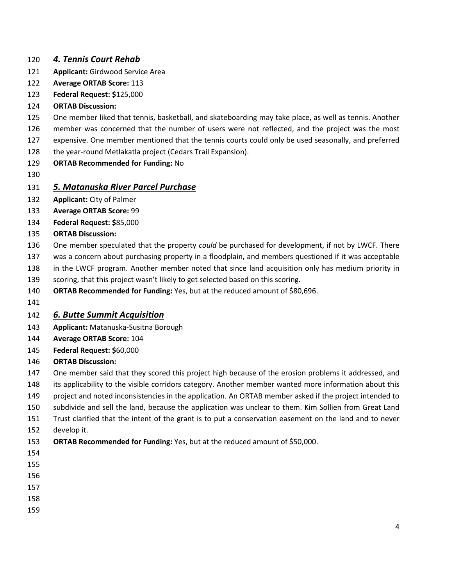#### *4. Tennis Court Rehab*

- **Applicant:** Girdwood Service Area
- **Average ORTAB Score:** 113
- **Federal Request: \$**125,000
- **ORTAB Discussion:**
- One member liked that tennis, basketball, and skateboarding may take place, as well as tennis. Another
- member was concerned that the number of users were not reflected, and the project was the most
- expensive. One member mentioned that the tennis courts could only be used seasonally, and preferred
- 128 the year-round Metlakatla project (Cedars Trail Expansion).
- **ORTAB Recommended for Funding:** No
- 

#### *5. Matanuska River Parcel Purchase*

- **Applicant:** City of Palmer
- **Average ORTAB Score:** 99
- **Federal Request: \$**85,000
- **ORTAB Discussion:**
- One member speculated that the property *could* be purchased for development, if not by LWCF. There
- was a concern about purchasing property in a floodplain, and members questioned if it was acceptable
- in the LWCF program. Another member noted that since land acquisition only has medium priority in
- scoring, that this project wasn't likely to get selected based on this scoring.
- **ORTAB Recommended for Funding:** Yes, but at the reduced amount of \$80,696.
- 

## *6. Butte Summit Acquisition*

- **Applicant:** Matanuska-Susitna Borough
- **Average ORTAB Score:** 104
- **Federal Request: \$**60,000
- **ORTAB Discussion:**
- One member said that they scored this project high because of the erosion problems it addressed, and
- its applicability to the visible corridors category. Another member wanted more information about this
- project and noted inconsistencies in the application. An ORTAB member asked if the project intended to
- subdivide and sell the land, because the application was unclear to them. Kim Sollien from Great Land
- Trust clarified that the intent of the grant is to put a conservation easement on the land and to never develop it.
- **ORTAB Recommended for Funding:** Yes, but at the reduced amount of \$50,000.
- 

- 
- 
- 
-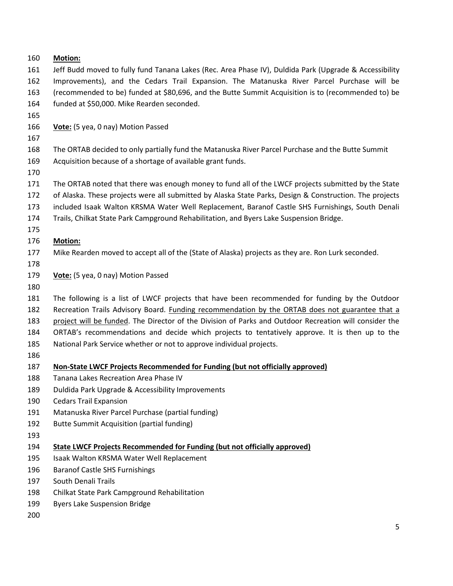#### **Motion:**

 Jeff Budd moved to fully fund Tanana Lakes (Rec. Area Phase IV), Duldida Park (Upgrade & Accessibility Improvements), and the Cedars Trail Expansion. The Matanuska River Parcel Purchase will be (recommended to be) funded at \$80,696, and the Butte Summit Acquisition is to (recommended to) be funded at \$50,000. Mike Rearden seconded.

**Vote:** (5 yea, 0 nay) Motion Passed

The ORTAB decided to only partially fund the Matanuska River Parcel Purchase and the Butte Summit

- Acquisition because of a shortage of available grant funds.
- 

The ORTAB noted that there was enough money to fund all of the LWCF projects submitted by the State

- of Alaska. These projects were all submitted by Alaska State Parks, Design & Construction. The projects
- included Isaak Walton KRSMA Water Well Replacement, Baranof Castle SHS Furnishings, South Denali
- Trails, Chilkat State Park Campground Rehabilitation, and Byers Lake Suspension Bridge.

#### **Motion:**

- Mike Rearden moved to accept all of the (State of Alaska) projects as they are. Ron Lurk seconded.
- 

**Vote:** (5 yea, 0 nay) Motion Passed

 The following is a list of LWCF projects that have been recommended for funding by the Outdoor Recreation Trails Advisory Board. Funding recommendation by the ORTAB does not guarantee that a

- project will be funded. The Director of the Division of Parks and Outdoor Recreation will consider the
- ORTAB's recommendations and decide which projects to tentatively approve. It is then up to the
- National Park Service whether or not to approve individual projects.
- 

#### **Non-State LWCF Projects Recommended for Funding (but not officially approved)**

- Tanana Lakes Recreation Area Phase IV
- Duldida Park Upgrade & Accessibility Improvements
- Cedars Trail Expansion
- Matanuska River Parcel Purchase (partial funding)
- Butte Summit Acquisition (partial funding)
- 
- **State LWCF Projects Recommended for Funding (but not officially approved)**
- Isaak Walton KRSMA Water Well Replacement
- Baranof Castle SHS Furnishings
- South Denali Trails
- Chilkat State Park Campground Rehabilitation
- Byers Lake Suspension Bridge
-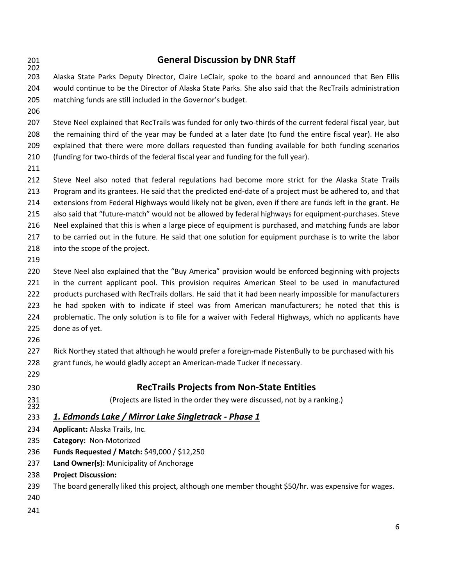## **General Discussion by DNR Staff** Alaska State Parks Deputy Director, Claire LeClair, spoke to the board and announced that Ben Ellis would continue to be the Director of Alaska State Parks. She also said that the RecTrails administration matching funds are still included in the Governor's budget. Steve Neel explained that RecTrails was funded for only two-thirds of the current federal fiscal year, but the remaining third of the year may be funded at a later date (to fund the entire fiscal year). He also explained that there were more dollars requested than funding available for both funding scenarios (funding for two-thirds of the federal fiscal year and funding for the full year). Steve Neel also noted that federal regulations had become more strict for the Alaska State Trails Program and its grantees. He said that the predicted end-date of a project must be adhered to, and that extensions from Federal Highways would likely not be given, even if there are funds left in the grant. He also said that "future-match" would not be allowed by federal highways for equipment-purchases. Steve Neel explained that this is when a large piece of equipment is purchased, and matching funds are labor to be carried out in the future. He said that one solution for equipment purchase is to write the labor into the scope of the project. Steve Neel also explained that the "Buy America" provision would be enforced beginning with projects in the current applicant pool. This provision requires American Steel to be used in manufactured products purchased with RecTrails dollars. He said that it had been nearly impossible for manufacturers he had spoken with to indicate if steel was from American manufacturers; he noted that this is problematic. The only solution is to file for a waiver with Federal Highways, which no applicants have done as of yet. Rick Northey stated that although he would prefer a foreign-made PistenBully to be purchased with his grant funds, he would gladly accept an American-made Tucker if necessary. **RecTrails Projects from Non-State Entities** (Projects are listed in the order they were discussed, not by a ranking.) *1. Edmonds Lake / Mirror Lake Singletrack - Phase 1* **Applicant:** Alaska Trails, Inc. **Category:** Non-Motorized **Funds Requested / Match:** \$49,000 / \$12,250 **Land Owner(s):** Municipality of Anchorage **Project Discussion:**  The board generally liked this project, although one member thought \$50/hr. was expensive for wages.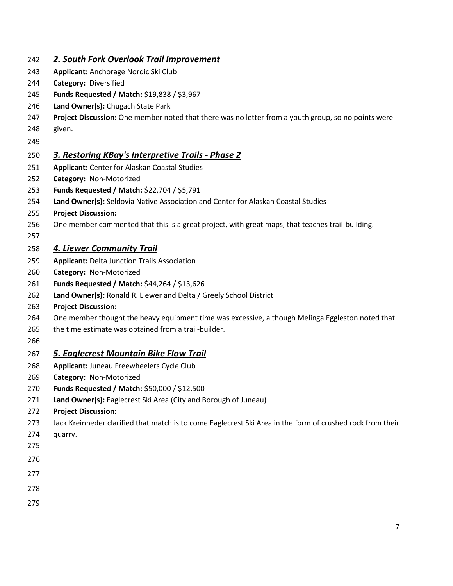| 242        | 2. South Fork Overlook Trail Improvement                                                                   |
|------------|------------------------------------------------------------------------------------------------------------|
| 243        | Applicant: Anchorage Nordic Ski Club                                                                       |
| 244        | Category: Diversified                                                                                      |
| 245        | Funds Requested / Match: \$19,838 / \$3,967                                                                |
| 246        | Land Owner(s): Chugach State Park                                                                          |
| 247        | Project Discussion: One member noted that there was no letter from a youth group, so no points were        |
| 248        | given.                                                                                                     |
| 249        |                                                                                                            |
| 250        | 3. Restoring KBay's Interpretive Trails - Phase 2                                                          |
| 251        | <b>Applicant: Center for Alaskan Coastal Studies</b>                                                       |
| 252        | Category: Non-Motorized                                                                                    |
| 253        | Funds Requested / Match: \$22,704 / \$5,791                                                                |
| 254        | Land Owner(s): Seldovia Native Association and Center for Alaskan Coastal Studies                          |
| 255        | <b>Project Discussion:</b>                                                                                 |
| 256        | One member commented that this is a great project, with great maps, that teaches trail-building.           |
| 257<br>258 | 4. Liewer Community Trail                                                                                  |
| 259        | <b>Applicant: Delta Junction Trails Association</b>                                                        |
| 260        | Category: Non-Motorized                                                                                    |
| 261        | Funds Requested / Match: \$44,264 / \$13,626                                                               |
| 262        | Land Owner(s): Ronald R. Liewer and Delta / Greely School District                                         |
| 263        | <b>Project Discussion:</b>                                                                                 |
| 264        | One member thought the heavy equipment time was excessive, although Melinga Eggleston noted that           |
| 265        | the time estimate was obtained from a trail-builder.                                                       |
| 266        |                                                                                                            |
| 267        | <b>5. Eaglecrest Mountain Bike Flow Trail</b>                                                              |
| 268        | Applicant: Juneau Freewheelers Cycle Club                                                                  |
| 269        | Category: Non-Motorized                                                                                    |
| 270        | Funds Requested / Match: \$50,000 / \$12,500                                                               |
| 271        | Land Owner(s): Eaglecrest Ski Area (City and Borough of Juneau)                                            |
| 272        | <b>Project Discussion:</b>                                                                                 |
| 273        | Jack Kreinheder clarified that match is to come Eaglecrest Ski Area in the form of crushed rock from their |
| 274        | quarry.                                                                                                    |
| 275        |                                                                                                            |
| 276        |                                                                                                            |
| 277        |                                                                                                            |
| 278        |                                                                                                            |
| 279        |                                                                                                            |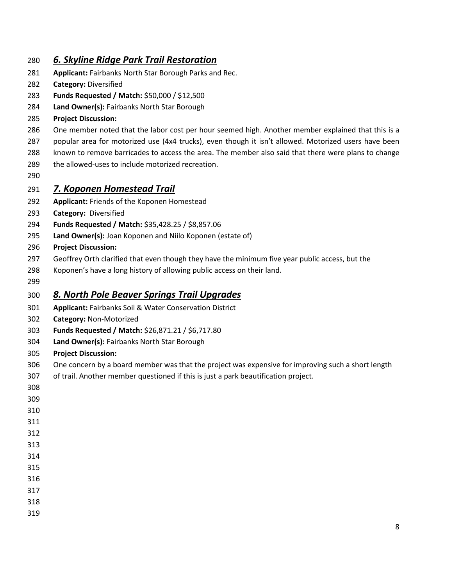#### *6. Skyline Ridge Park Trail Restoration*

- **Applicant:** Fairbanks North Star Borough Parks and Rec.
- **Category:** Diversified
- **Funds Requested / Match:** \$50,000 / \$12,500
- **Land Owner(s):** Fairbanks North Star Borough
- **Project Discussion:**
- 286 One member noted that the labor cost per hour seemed high. Another member explained that this is a
- popular area for motorized use (4x4 trucks), even though it isn't allowed. Motorized users have been
- known to remove barricades to access the area. The member also said that there were plans to change
- the allowed-uses to include motorized recreation.
- 

#### *7. Koponen Homestead Trail*

- **Applicant:** Friends of the Koponen Homestead
- **Category:** Diversified
- **Funds Requested / Match:** \$35,428.25 / \$8,857.06
- **Land Owner(s):** Joan Koponen and Niilo Koponen (estate of)
- **Project Discussion:**
- Geoffrey Orth clarified that even though they have the minimum five year public access, but the
- Koponen's have a long history of allowing public access on their land.
- 

## *8. North Pole Beaver Springs Trail Upgrades*

- **Applicant:** Fairbanks Soil & Water Conservation District
- **Category:** Non-Motorized
- **Funds Requested / Match:** \$26,871.21 / \$6,717.80
- **Land Owner(s):** Fairbanks North Star Borough
- **Project Discussion:**
- One concern by a board member was that the project was expensive for improving such a short length
- of trail. Another member questioned if this is just a park beautification project.
- 
- 
- 
- 
- 
- 
- 
- 
- 
- 
- 
-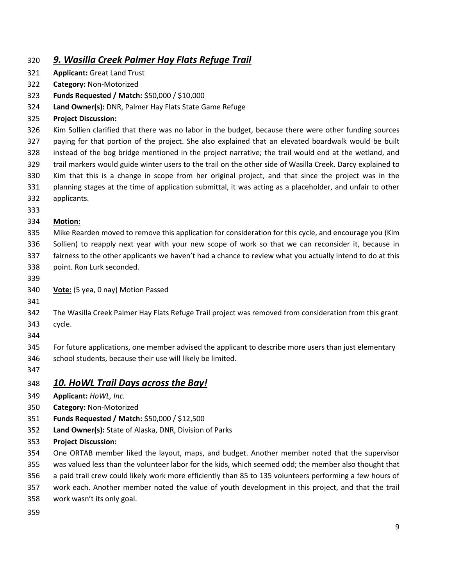## *9. Wasilla Creek Palmer Hay Flats Refuge Trail*

- **Applicant:** Great Land Trust
- **Category:** Non-Motorized
- **Funds Requested / Match:** \$50,000 / \$10,000
- **Land Owner(s):** DNR, Palmer Hay Flats State Game Refuge
- **Project Discussion:**

 Kim Sollien clarified that there was no labor in the budget, because there were other funding sources paying for that portion of the project. She also explained that an elevated boardwalk would be built instead of the bog bridge mentioned in the project narrative; the trail would end at the wetland, and trail markers would guide winter users to the trail on the other side of Wasilla Creek. Darcy explained to Kim that this is a change in scope from her original project, and that since the project was in the planning stages at the time of application submittal, it was acting as a placeholder, and unfair to other

- applicants.
- 

#### **Motion:**

- Mike Rearden moved to remove this application for consideration for this cycle, and encourage you (Kim Sollien) to reapply next year with your new scope of work so that we can reconsider it, because in fairness to the other applicants we haven't had a chance to review what you actually intend to do at this point. Ron Lurk seconded.
- 
- **Vote:** (5 yea, 0 nay) Motion Passed
- 

The Wasilla Creek Palmer Hay Flats Refuge Trail project was removed from consideration from this grant

- cycle.
- 

For future applications, one member advised the applicant to describe more users than just elementary

- 346 school students, because their use will likely be limited.
- 

#### *10. HoWL Trail Days across the Bay!*

- **Applicant:** *HoWL, Inc.*
- **Category:** Non-Motorized
- **Funds Requested / Match:** \$50,000 / \$12,500
- **Land Owner(s):** State of Alaska, DNR, Division of Parks
- **Project Discussion:**
- One ORTAB member liked the layout, maps, and budget. Another member noted that the supervisor
- was valued less than the volunteer labor for the kids, which seemed odd; the member also thought that
- a paid trail crew could likely work more efficiently than 85 to 135 volunteers performing a few hours of
- work each. Another member noted the value of youth development in this project, and that the trail
- work wasn't its only goal.
-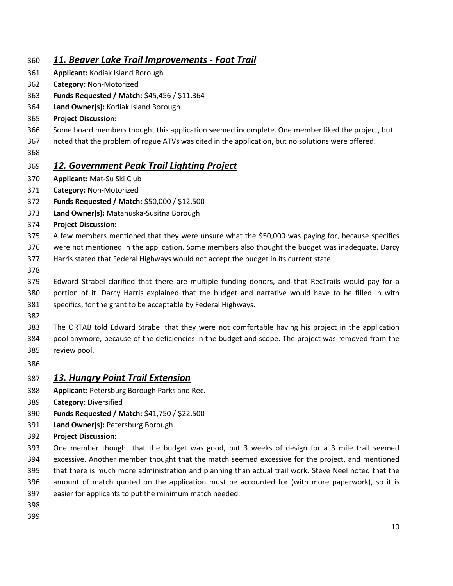### *11. Beaver Lake Trail Improvements - Foot Trail*

- **Applicant:** Kodiak Island Borough
- **Category:** Non-Motorized
- **Funds Requested / Match:** \$45,456 / \$11,364
- **Land Owner(s):** Kodiak Island Borough
- **Project Discussion:**
- Some board members thought this application seemed incomplete. One member liked the project, but
- noted that the problem of rogue ATVs was cited in the application, but no solutions were offered.
- 

## *12. Government Peak Trail Lighting Project*

- **Applicant:** Mat-Su Ski Club
- **Category:** Non-Motorized
- **Funds Requested / Match:** \$50,000 / \$12,500
- **Land Owner(s):** Matanuska-Susitna Borough
- **Project Discussion:**
- A few members mentioned that they were unsure what the \$50,000 was paying for, because specifics
- were not mentioned in the application. Some members also thought the budget was inadequate. Darcy
- Harris stated that Federal Highways would not accept the budget in its current state.
- 
- Edward Strabel clarified that there are multiple funding donors, and that RecTrails would pay for a portion of it. Darcy Harris explained that the budget and narrative would have to be filled in with specifics, for the grant to be acceptable by Federal Highways.
- 
- The ORTAB told Edward Strabel that they were not comfortable having his project in the application pool anymore, because of the deficiencies in the budget and scope. The project was removed from the review pool.
- 

#### *13. Hungry Point Trail Extension*

- **Applicant:** Petersburg Borough Parks and Rec*.*
- **Category:** Diversified
- **Funds Requested / Match:** \$41,750 / \$22,500
- **Land Owner(s):** Petersburg Borough
- **Project Discussion:**
- One member thought that the budget was good, but 3 weeks of design for a 3 mile trail seemed excessive. Another member thought that the match seemed excessive for the project, and mentioned
- that there is much more administration and planning than actual trail work. Steve Neel noted that the
- amount of match quoted on the application must be accounted for (with more paperwork), so it is
- easier for applicants to put the minimum match needed.
- 
-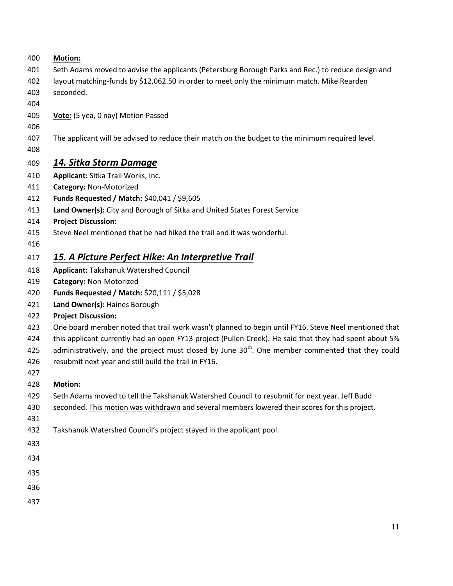- **Motion:**
- Seth Adams moved to advise the applicants (Petersburg Borough Parks and Rec.) to reduce design and
- layout matching-funds by \$12,062.50 in order to meet only the minimum match. Mike Rearden
- seconded.
- 
- **Vote:** (5 yea, 0 nay) Motion Passed
- 
- The applicant will be advised to reduce their match on the budget to the minimum required level.
- 

## *14. Sitka Storm Damage*

- **Applicant:** Sitka Trail Works, Inc.
- **Category:** Non-Motorized
- **Funds Requested / Match:** \$40,041 / \$9,605
- **Land Owner(s):** City and Borough of Sitka and United States Forest Service
- **Project Discussion:**
- Steve Neel mentioned that he had hiked the trail and it was wonderful.
- 

## *15. A Picture Perfect Hike: An Interpretive Trail*

- **Applicant:** Takshanuk Watershed Council
- **Category:** Non-Motorized
- **Funds Requested / Match:** \$20,111 / \$5,028
- **Land Owner(s):** Haines Borough
- **Project Discussion:**
- One board member noted that trail work wasn't planned to begin until FY16. Steve Neel mentioned that
- this applicant currently had an open FY13 project (Pullen Creek). He said that they had spent about 5%
- 425 administratively, and the project must closed by June  $30<sup>th</sup>$ . One member commented that they could
- resubmit next year and still build the trail in FY16.
- 

## **Motion:**

- Seth Adams moved to tell the Takshanuk Watershed Council to resubmit for next year. Jeff Budd
- seconded. This motion was withdrawn and several members lowered their scores for this project.
- 
- Takshanuk Watershed Council's project stayed in the applicant pool.
- 
- 
- 
- 
-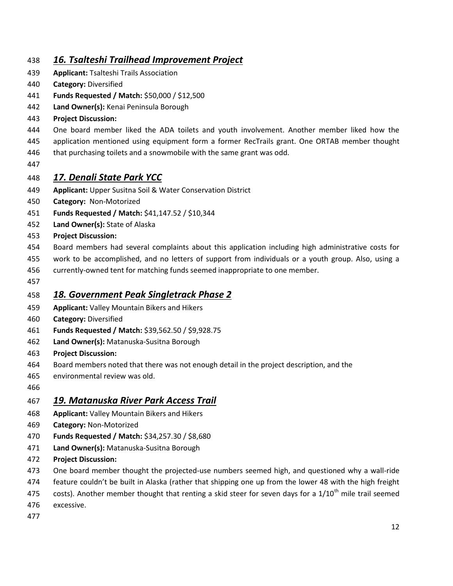## *16. Tsalteshi Trailhead Improvement Project*

- **Applicant:** Tsalteshi Trails Association
- **Category:** Diversified
- **Funds Requested / Match:** \$50,000 / \$12,500
- **Land Owner(s):** Kenai Peninsula Borough
- **Project Discussion:**
- One board member liked the ADA toilets and youth involvement. Another member liked how the
- application mentioned using equipment form a former RecTrails grant. One ORTAB member thought
- 446 that purchasing toilets and a snowmobile with the same grant was odd.
- 

## *17. Denali State Park YCC*

- **Applicant:** Upper Susitna Soil & Water Conservation District
- **Category:** Non-Motorized
- **Funds Requested / Match:** \$41,147.52 / \$10,344
- **Land Owner(s):** State of Alaska
- **Project Discussion:**
- Board members had several complaints about this application including high administrative costs for
- work to be accomplished, and no letters of support from individuals or a youth group. Also, using a
- currently-owned tent for matching funds seemed inappropriate to one member.
- 

#### *18. Government Peak Singletrack Phase 2*

- **Applicant:** Valley Mountain Bikers and Hikers
- **Category:** Diversified
- **Funds Requested / Match:** \$39,562.50 / \$9,928.75
- **Land Owner(s):** Matanuska-Susitna Borough
- **Project Discussion:**
- Board members noted that there was not enough detail in the project description, and the
- environmental review was old.
- 

#### *19. Matanuska River Park Access Trail*

- **Applicant:** Valley Mountain Bikers and Hikers
- **Category:** Non-Motorized
- **Funds Requested / Match:** \$34,257.30 / \$8,680
- **Land Owner(s):** Matanuska-Susitna Borough
- **Project Discussion:**
- One board member thought the projected-use numbers seemed high, and questioned why a wall-ride
- feature couldn't be built in Alaska (rather that shipping one up from the lower 48 with the high freight
- 475 costs). Another member thought that renting a skid steer for seven days for a  $1/10^{th}$  mile trail seemed
- excessive.
-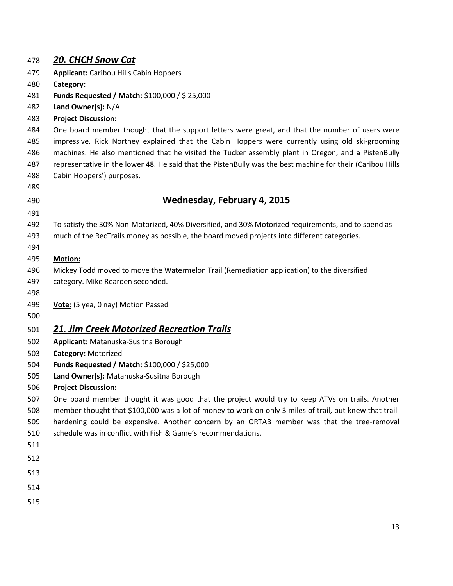| 478        | 20. CHCH Snow Cat                                                                                                             |
|------------|-------------------------------------------------------------------------------------------------------------------------------|
| 479        | <b>Applicant: Caribou Hills Cabin Hoppers</b>                                                                                 |
| 480        | Category:                                                                                                                     |
| 481        | Funds Requested / Match: \$100,000 / \$25,000                                                                                 |
| 482        | Land Owner(s): N/A                                                                                                            |
| 483        | <b>Project Discussion:</b>                                                                                                    |
| 484        | One board member thought that the support letters were great, and that the number of users were                               |
| 485        | impressive. Rick Northey explained that the Cabin Hoppers were currently using old ski-grooming                               |
| 486        | machines. He also mentioned that he visited the Tucker assembly plant in Oregon, and a PistenBully                            |
| 487        | representative in the lower 48. He said that the PistenBully was the best machine for their (Caribou Hills                    |
| 488        | Cabin Hoppers') purposes.                                                                                                     |
| 489        |                                                                                                                               |
| 490        | <b>Wednesday, February 4, 2015</b>                                                                                            |
| 491        |                                                                                                                               |
| 492        | To satisfy the 30% Non-Motorized, 40% Diversified, and 30% Motorized requirements, and to spend as                            |
| 493        | much of the RecTrails money as possible, the board moved projects into different categories.                                  |
| 494        |                                                                                                                               |
| 495        | <b>Motion:</b>                                                                                                                |
| 496        | Mickey Todd moved to move the Watermelon Trail (Remediation application) to the diversified                                   |
| 497        | category. Mike Rearden seconded.                                                                                              |
| 498        |                                                                                                                               |
| 499<br>500 | Vote: (5 yea, 0 nay) Motion Passed                                                                                            |
|            |                                                                                                                               |
| 501        | <b>21. Jim Creek Motorized Recreation Trails</b>                                                                              |
| 502        | Applicant: Matanuska-Susitna Borough                                                                                          |
| 503        | Category: Motorized                                                                                                           |
| 504        | Funds Requested / Match: \$100,000 / \$25,000                                                                                 |
| 505        | Land Owner(s): Matanuska-Susitna Borough                                                                                      |
| 506<br>507 | <b>Project Discussion:</b><br>One board member thought it was good that the project would try to keep ATVs on trails. Another |
| 508        | member thought that \$100,000 was a lot of money to work on only 3 miles of trail, but knew that trail-                       |
| 509        | hardening could be expensive. Another concern by an ORTAB member was that the tree-removal                                    |
| 510        | schedule was in conflict with Fish & Game's recommendations.                                                                  |
| 511        |                                                                                                                               |
| 512        |                                                                                                                               |
| 513        |                                                                                                                               |
| 514        |                                                                                                                               |
|            |                                                                                                                               |
| 515        |                                                                                                                               |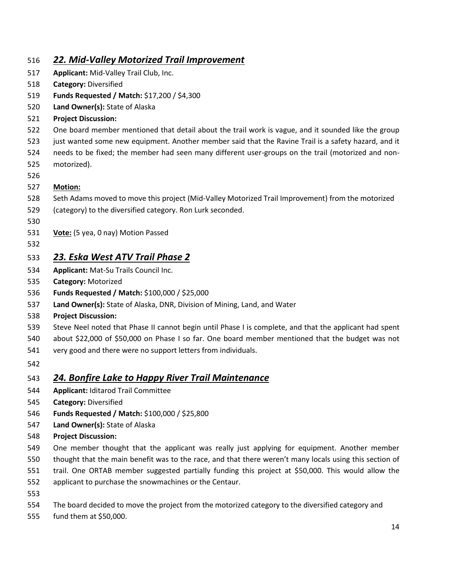## *22. Mid-Valley Motorized Trail Improvement*

- **Applicant:** Mid-Valley Trail Club, Inc.
- **Category:** Diversified
- **Funds Requested / Match:** \$17,200 / \$4,300
- **Land Owner(s):** State of Alaska
- **Project Discussion:**
- One board member mentioned that detail about the trail work is vague, and it sounded like the group
- just wanted some new equipment. Another member said that the Ravine Trail is a safety hazard, and it
- needs to be fixed; the member had seen many different user-groups on the trail (motorized and non-
- motorized).
- 

#### **Motion:**

- Seth Adams moved to move this project (Mid-Valley Motorized Trail Improvement) from the motorized
- (category) to the diversified category. Ron Lurk seconded.
- 
- **Vote:** (5 yea, 0 nay) Motion Passed
- 

## *23. Eska West ATV Trail Phase 2*

- **Applicant:** Mat-Su Trails Council Inc.
- **Category:** Motorized
- **Funds Requested / Match:** \$100,000 / \$25,000
- **Land Owner(s):** State of Alaska, DNR, Division of Mining, Land, and Water
- **Project Discussion:**
- Steve Neel noted that Phase II cannot begin until Phase I is complete, and that the applicant had spent
- about \$22,000 of \$50,000 on Phase I so far. One board member mentioned that the budget was not
- very good and there were no support letters from individuals.
- 

## *24. Bonfire Lake to Happy River Trail Maintenance*

- **Applicant:** Iditarod Trail Committee
- **Category:** Diversified
- **Funds Requested / Match:** \$100,000 / \$25,800
- **Land Owner(s):** State of Alaska
- **Project Discussion:**
- One member thought that the applicant was really just applying for equipment. Another member
- thought that the main benefit was to the race, and that there weren't many locals using this section of trail. One ORTAB member suggested partially funding this project at \$50,000. This would allow the
- applicant to purchase the snowmachines or the Centaur.
- 
- The board decided to move the project from the motorized category to the diversified category and
- fund them at \$50,000.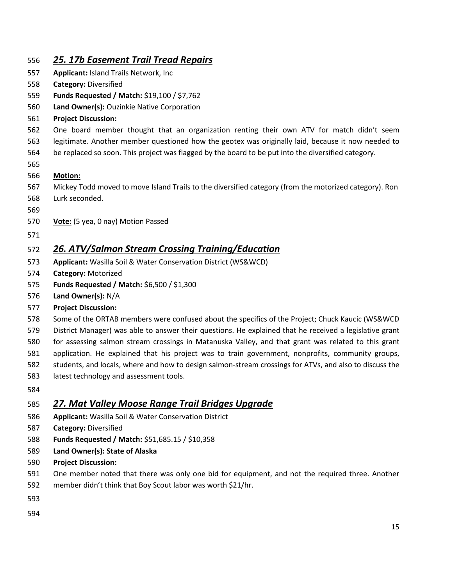| 556 | 25. 17b Easement Trail Tread Repairs                                                                    |
|-----|---------------------------------------------------------------------------------------------------------|
| 557 | <b>Applicant: Island Trails Network, Inc.</b>                                                           |
| 558 | <b>Category: Diversified</b>                                                                            |
| 559 | Funds Requested / Match: \$19,100 / \$7,762                                                             |
| 560 | Land Owner(s): Ouzinkie Native Corporation                                                              |
| 561 | <b>Project Discussion:</b>                                                                              |
| 562 | One board member thought that an organization renting their own ATV for match didn't seem               |
| 563 | legitimate. Another member questioned how the geotex was originally laid, because it now needed to      |
| 564 | be replaced so soon. This project was flagged by the board to be put into the diversified category.     |
| 565 |                                                                                                         |
| 566 | <b>Motion:</b>                                                                                          |
| 567 | Mickey Todd moved to move Island Trails to the diversified category (from the motorized category). Ron  |
| 568 | Lurk seconded.                                                                                          |
| 569 |                                                                                                         |
| 570 | Vote: (5 yea, 0 nay) Motion Passed                                                                      |
| 571 |                                                                                                         |
| 572 | <b>26. ATV/Salmon Stream Crossing Training/Education</b>                                                |
| 573 | Applicant: Wasilla Soil & Water Conservation District (WS&WCD)                                          |
| 574 | Category: Motorized                                                                                     |
| 575 | <b>Funds Requested / Match: \$6,500 / \$1,300</b>                                                       |
| 576 | Land Owner(s): N/A                                                                                      |
| 577 | <b>Project Discussion:</b>                                                                              |
| 578 | Some of the ORTAB members were confused about the specifics of the Project; Chuck Kaucic (WS&WCD        |
| 579 | District Manager) was able to answer their questions. He explained that he received a legislative grant |
| 580 | for assessing salmon stream crossings in Matanuska Valley, and that grant was related to this grant     |
| 581 | application. He explained that his project was to train government, nonprofits, community groups,       |
| 582 | students, and locals, where and how to design salmon-stream crossings for ATVs, and also to discuss the |
| 583 | latest technology and assessment tools.                                                                 |
| 584 |                                                                                                         |
| 585 | <u>27. Mat Valley Moose Range Trail Bridges Upgrade</u>                                                 |
| 586 | Applicant: Wasilla Soil & Water Conservation District                                                   |
| 587 | <b>Category: Diversified</b>                                                                            |
| 588 | Funds Requested / Match: \$51,685.15 / \$10,358                                                         |
| 589 | Land Owner(s): State of Alaska                                                                          |
| 590 | <b>Project Discussion:</b>                                                                              |
| 591 | One member noted that there was only one bid for equipment, and not the required three. Another         |
| 592 | member didn't think that Boy Scout labor was worth \$21/hr.                                             |
| 593 |                                                                                                         |
| 594 |                                                                                                         |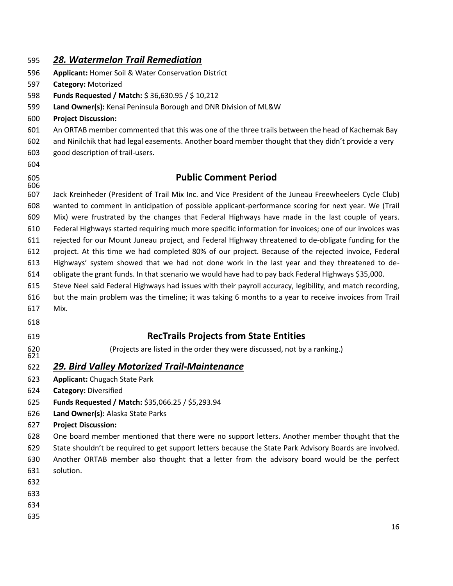| 595 | 28. Watermelon Trail Remediation |
|-----|----------------------------------|
|-----|----------------------------------|

- **Applicant:** Homer Soil & Water Conservation District
- **Category:** Motorized
- **Funds Requested / Match:** \$ 36,630.95 / \$ 10,212
- **Land Owner(s):** Kenai Peninsula Borough and DNR Division of ML&W
- **Project Discussion:**
- An ORTAB member commented that this was one of the three trails between the head of Kachemak Bay
- and Ninilchik that had legal easements. Another board member thought that they didn't provide a very
- good description of trail-users.
- 

## **Public Comment Period**

 Jack Kreinheder (President of Trail Mix Inc. and Vice President of the Juneau Freewheelers Cycle Club) wanted to comment in anticipation of possible applicant-performance scoring for next year. We (Trail Mix) were frustrated by the changes that Federal Highways have made in the last couple of years. Federal Highways started requiring much more specific information for invoices; one of our invoices was rejected for our Mount Juneau project, and Federal Highway threatened to de-obligate funding for the project. At this time we had completed 80% of our project. Because of the rejected invoice, Federal Highways' system showed that we had not done work in the last year and they threatened to de- obligate the grant funds. In that scenario we would have had to pay back Federal Highways \$35,000. Steve Neel said Federal Highways had issues with their payroll accuracy, legibility, and match recording, but the main problem was the timeline; it was taking 6 months to a year to receive invoices from Trail Mix. **RecTrails Projects from State Entities**

(Projects are listed in the order they were discussed, not by a ranking.)

#### *29. Bird Valley Motorized Trail-Maintenance*

- **Applicant:** Chugach State Park
- **Category:** Diversified
- **Funds Requested / Match:** \$35,066.25 / \$5,293.94
- **Land Owner(s):** Alaska State Parks
- **Project Discussion:**

One board member mentioned that there were no support letters. Another member thought that the

- State shouldn't be required to get support letters because the State Park Advisory Boards are involved.
- Another ORTAB member also thought that a letter from the advisory board would be the perfect solution.
- 
- 
- 
-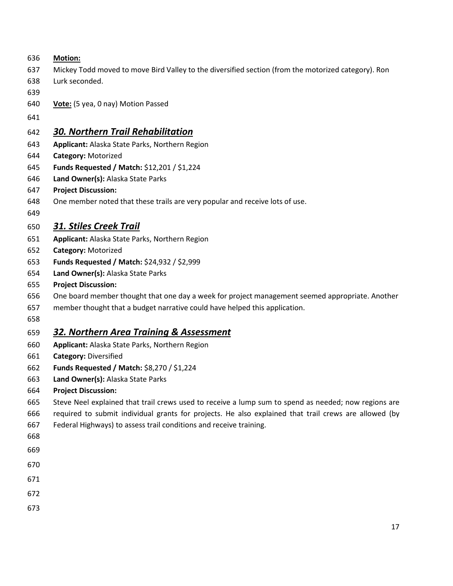| 636 | <b>Motion:</b>                                                                                        |
|-----|-------------------------------------------------------------------------------------------------------|
| 637 | Mickey Todd moved to move Bird Valley to the diversified section (from the motorized category). Ron   |
| 638 | Lurk seconded.                                                                                        |
| 639 |                                                                                                       |
| 640 | Vote: (5 yea, 0 nay) Motion Passed                                                                    |
| 641 |                                                                                                       |
| 642 | <b>30. Northern Trail Rehabilitation</b>                                                              |
| 643 | Applicant: Alaska State Parks, Northern Region                                                        |
| 644 | Category: Motorized                                                                                   |
| 645 | Funds Requested / Match: \$12,201 / \$1,224                                                           |
| 646 | Land Owner(s): Alaska State Parks                                                                     |
| 647 | <b>Project Discussion:</b>                                                                            |
| 648 | One member noted that these trails are very popular and receive lots of use.                          |
| 649 |                                                                                                       |
| 650 | <b>31. Stiles Creek Trail</b>                                                                         |
| 651 | Applicant: Alaska State Parks, Northern Region                                                        |
| 652 | Category: Motorized                                                                                   |
| 653 | Funds Requested / Match: \$24,932 / \$2,999                                                           |
| 654 | Land Owner(s): Alaska State Parks                                                                     |
| 655 | <b>Project Discussion:</b>                                                                            |
| 656 | One board member thought that one day a week for project management seemed appropriate. Another       |
| 657 | member thought that a budget narrative could have helped this application.                            |
| 658 |                                                                                                       |
| 659 | 32. Northern Area Training & Assessment                                                               |
| 660 | Applicant: Alaska State Parks, Northern Region                                                        |
| 661 | <b>Category: Diversified</b>                                                                          |
| 662 | Funds Requested / Match: \$8,270 / \$1,224                                                            |
| 663 | Land Owner(s): Alaska State Parks                                                                     |
| 664 | <b>Project Discussion:</b>                                                                            |
| 665 | Steve Neel explained that trail crews used to receive a lump sum to spend as needed; now regions are  |
| 666 | required to submit individual grants for projects. He also explained that trail crews are allowed (by |
| 667 | Federal Highways) to assess trail conditions and receive training.                                    |
| 668 |                                                                                                       |
| 669 |                                                                                                       |
| 670 |                                                                                                       |
| 671 |                                                                                                       |
| 672 |                                                                                                       |
| 673 |                                                                                                       |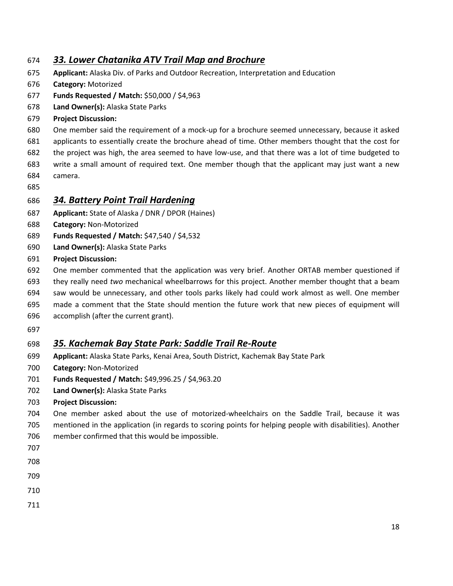#### *33. Lower Chatanika ATV Trail Map and Brochure*

- **Applicant:** Alaska Div. of Parks and Outdoor Recreation, Interpretation and Education
- **Category:** Motorized
- **Funds Requested / Match:** \$50,000 / \$4,963
- **Land Owner(s):** Alaska State Parks
- **Project Discussion:**
- One member said the requirement of a mock-up for a brochure seemed unnecessary, because it asked
- applicants to essentially create the brochure ahead of time. Other members thought that the cost for
- the project was high, the area seemed to have low-use, and that there was a lot of time budgeted to
- write a small amount of required text. One member though that the applicant may just want a new camera.
- 

#### *34. Battery Point Trail Hardening*

- **Applicant:** State of Alaska / DNR / DPOR (Haines)
- **Category:** Non-Motorized
- **Funds Requested / Match:** \$47,540 / \$4,532
- **Land Owner(s):** Alaska State Parks
- **Project Discussion:**
- One member commented that the application was very brief. Another ORTAB member questioned if
- they really need *two* mechanical wheelbarrows for this project. Another member thought that a beam
- saw would be unnecessary, and other tools parks likely had could work almost as well. One member
- made a comment that the State should mention the future work that new pieces of equipment will
- accomplish (after the current grant).
- 

## *35. Kachemak Bay State Park: Saddle Trail Re-Route*

- **Applicant:** Alaska State Parks, Kenai Area, South District, Kachemak Bay State Park
- **Category:** Non-Motorized
- **Funds Requested / Match:** \$49,996.25 / \$4,963.20
- **Land Owner(s):** Alaska State Parks
- **Project Discussion:**
- One member asked about the use of motorized-wheelchairs on the Saddle Trail, because it was mentioned in the application (in regards to scoring points for helping people with disabilities). Another
- member confirmed that this would be impossible.
- 
- 
- 
- 
-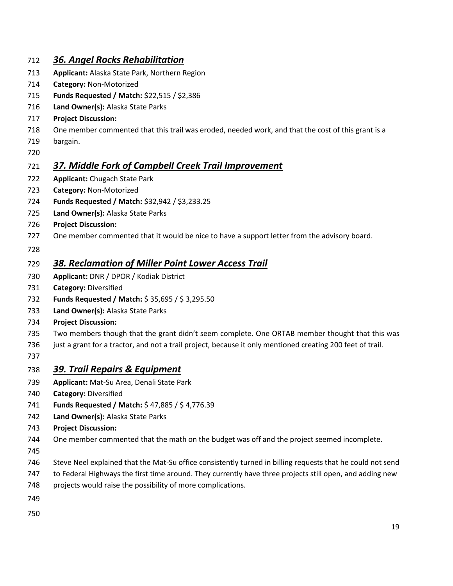## *36. Angel Rocks Rehabilitation*

- **Applicant:** Alaska State Park, Northern Region
- **Category:** Non-Motorized
- **Funds Requested / Match:** \$22,515 / \$2,386
- **Land Owner(s):** Alaska State Parks
- **Project Discussion:**
- One member commented that this trail was eroded, needed work, and that the cost of this grant is a
- bargain.
- 

## *37. Middle Fork of Campbell Creek Trail Improvement*

- **Applicant:** Chugach State Park
- **Category:** Non-Motorized
- **Funds Requested / Match:** \$32,942 / \$3,233.25
- **Land Owner(s):** Alaska State Parks
- **Project Discussion:**
- 727 One member commented that it would be nice to have a support letter from the advisory board.
- 

## *38. Reclamation of Miller Point Lower Access Trail*

- **Applicant:** DNR / DPOR / Kodiak District
- **Category:** Diversified
- **Funds Requested / Match:** \$ 35,695 / \$ 3,295.50
- **Land Owner(s):** Alaska State Parks
- **Project Discussion:**
- Two members though that the grant didn't seem complete. One ORTAB member thought that this was
- just a grant for a tractor, and not a trail project, because it only mentioned creating 200 feet of trail.
- 

#### *39. Trail Repairs & Equipment*

- **Applicant:** Mat-Su Area, Denali State Park
- **Category:** Diversified
- **Funds Requested / Match:** \$ 47,885 / \$ 4,776.39
- **Land Owner(s):** Alaska State Parks
- **Project Discussion:**
- One member commented that the math on the budget was off and the project seemed incomplete.
- 
- Steve Neel explained that the Mat-Su office consistently turned in billing requests that he could not send
- to Federal Highways the first time around. They currently have three projects still open, and adding new
- 748 projects would raise the possibility of more complications.
- 
-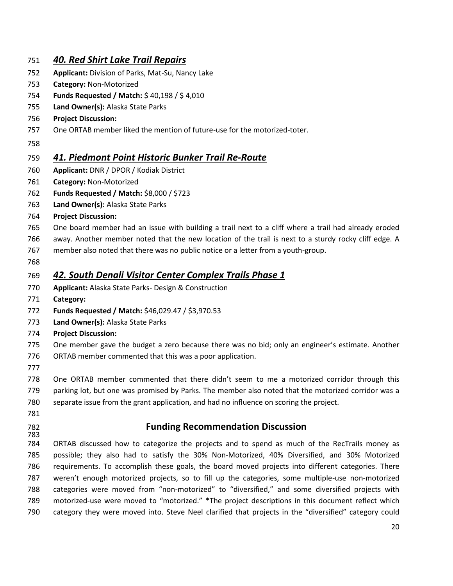#### *40. Red Shirt Lake Trail Repairs*

- **Applicant:** Division of Parks, Mat-Su, Nancy Lake
- **Category:** Non-Motorized
- **Funds Requested / Match:** \$ 40,198 / \$ 4,010
- **Land Owner(s):** Alaska State Parks
- **Project Discussion:**
- One ORTAB member liked the mention of future-use for the motorized-toter.
- 

#### *41. Piedmont Point Historic Bunker Trail Re-Route*

- **Applicant:** DNR / DPOR / Kodiak District
- **Category:** Non-Motorized
- **Funds Requested / Match:** \$8,000 / \$723
- **Land Owner(s):** Alaska State Parks
- **Project Discussion:**
- One board member had an issue with building a trail next to a cliff where a trail had already eroded
- away. Another member noted that the new location of the trail is next to a sturdy rocky cliff edge. A
- member also noted that there was no public notice or a letter from a youth-group.
- 

#### *42. South Denali Visitor Center Complex Trails Phase 1*

- **Applicant:** Alaska State Parks- Design & Construction
- **Category:**
- **Funds Requested / Match:** \$46,029.47 / \$3,970.53
- **Land Owner(s):** Alaska State Parks
- **Project Discussion:**
- One member gave the budget a zero because there was no bid; only an engineer's estimate. Another
- ORTAB member commented that this was a poor application.
- 

 One ORTAB member commented that there didn't seem to me a motorized corridor through this parking lot, but one was promised by Parks. The member also noted that the motorized corridor was a separate issue from the grant application, and had no influence on scoring the project.

- 
- 

#### **Funding Recommendation Discussion**

 ORTAB discussed how to categorize the projects and to spend as much of the RecTrails money as possible; they also had to satisfy the 30% Non-Motorized, 40% Diversified, and 30% Motorized requirements. To accomplish these goals, the board moved projects into different categories. There weren't enough motorized projects, so to fill up the categories, some multiple-use non-motorized categories were moved from "non-motorized" to "diversified," and some diversified projects with motorized-use were moved to "motorized." \*The project descriptions in this document reflect which category they were moved into. Steve Neel clarified that projects in the "diversified" category could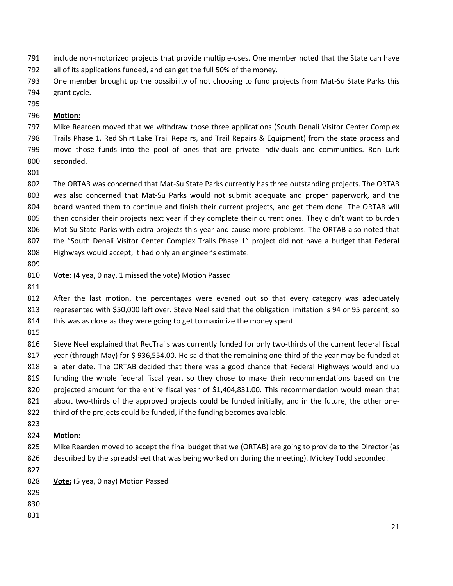- include non-motorized projects that provide multiple-uses. One member noted that the State can have
- all of its applications funded, and can get the full 50% of the money.
- One member brought up the possibility of not choosing to fund projects from Mat-Su State Parks this grant cycle.
- 

#### **Motion:**

 Mike Rearden moved that we withdraw those three applications (South Denali Visitor Center Complex Trails Phase 1, Red Shirt Lake Trail Repairs, and Trail Repairs & Equipment) from the state process and move those funds into the pool of ones that are private individuals and communities. Ron Lurk seconded.

 The ORTAB was concerned that Mat-Su State Parks currently has three outstanding projects. The ORTAB was also concerned that Mat-Su Parks would not submit adequate and proper paperwork, and the board wanted them to continue and finish their current projects, and get them done. The ORTAB will then consider their projects next year if they complete their current ones. They didn't want to burden Mat-Su State Parks with extra projects this year and cause more problems. The ORTAB also noted that the "South Denali Visitor Center Complex Trails Phase 1" project did not have a budget that Federal Highways would accept; it had only an engineer's estimate.

- 
- **Vote:** (4 yea, 0 nay, 1 missed the vote) Motion Passed
- 

 After the last motion, the percentages were evened out so that every category was adequately represented with \$50,000 left over. Steve Neel said that the obligation limitation is 94 or 95 percent, so 814 this was as close as they were going to get to maximize the money spent.

816 Steve Neel explained that RecTrails was currently funded for only two-thirds of the current federal fiscal year (through May) for \$ 936,554.00. He said that the remaining one-third of the year may be funded at a later date. The ORTAB decided that there was a good chance that Federal Highways would end up funding the whole federal fiscal year, so they chose to make their recommendations based on the projected amount for the entire fiscal year of \$1,404,831.00. This recommendation would mean that 821 about two-thirds of the approved projects could be funded initially, and in the future, the other one-third of the projects could be funded, if the funding becomes available.

#### **Motion:**

- Mike Rearden moved to accept the final budget that we (ORTAB) are going to provide to the Director (as described by the spreadsheet that was being worked on during the meeting). Mickey Todd seconded.
- 
- **Vote:** (5 yea, 0 nay) Motion Passed
- 
- 
-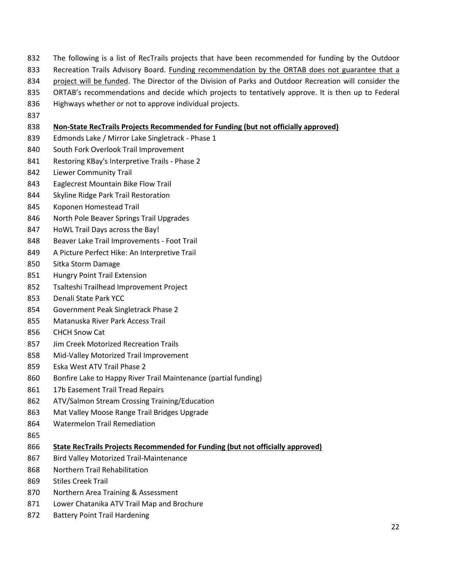- The following is a list of RecTrails projects that have been recommended for funding by the Outdoor
- Recreation Trails Advisory Board. Funding recommendation by the ORTAB does not guarantee that a
- 834 project will be funded. The Director of the Division of Parks and Outdoor Recreation will consider the
- ORTAB's recommendations and decide which projects to tentatively approve. It is then up to Federal
- Highways whether or not to approve individual projects.
- 

#### **Non-State RecTrails Projects Recommended for Funding (but not officially approved)**

- Edmonds Lake / Mirror Lake Singletrack Phase 1
- South Fork Overlook Trail Improvement
- Restoring KBay's Interpretive Trails Phase 2
- Liewer Community Trail
- Eaglecrest Mountain Bike Flow Trail
- Skyline Ridge Park Trail Restoration
- Koponen Homestead Trail
- North Pole Beaver Springs Trail Upgrades
- HoWL Trail Days across the Bay!
- Beaver Lake Trail Improvements Foot Trail
- A Picture Perfect Hike: An Interpretive Trail
- Sitka Storm Damage
- Hungry Point Trail Extension
- Tsalteshi Trailhead Improvement Project
- Denali State Park YCC
- Government Peak Singletrack Phase 2
- Matanuska River Park Access Trail
- CHCH Snow Cat
- Jim Creek Motorized Recreation Trails
- Mid-Valley Motorized Trail Improvement
- Eska West ATV Trail Phase 2
- Bonfire Lake to Happy River Trail Maintenance (partial funding)
- 861 17b Easement Trail Tread Repairs
- ATV/Salmon Stream Crossing Training/Education
- Mat Valley Moose Range Trail Bridges Upgrade
- Watermelon Trail Remediation
- 
- **State RecTrails Projects Recommended for Funding (but not officially approved)**
- Bird Valley Motorized Trail-Maintenance
- Northern Trail Rehabilitation
- Stiles Creek Trail
- Northern Area Training & Assessment
- Lower Chatanika ATV Trail Map and Brochure
- Battery Point Trail Hardening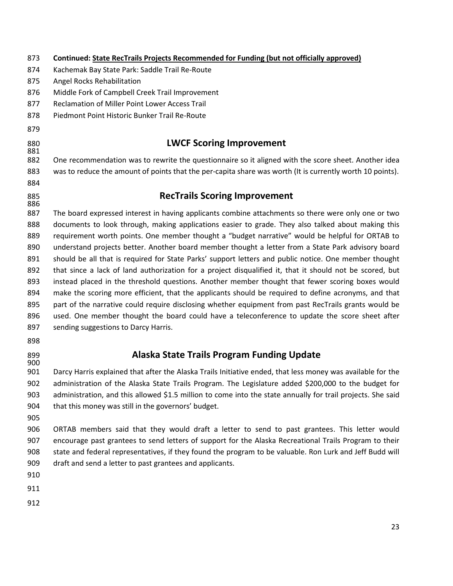| 873        | Continued: State RecTrails Projects Recommended for Funding (but not officially approved)                   |
|------------|-------------------------------------------------------------------------------------------------------------|
| 874        | Kachemak Bay State Park: Saddle Trail Re-Route                                                              |
| 875        | Angel Rocks Rehabilitation                                                                                  |
| 876        | Middle Fork of Campbell Creek Trail Improvement                                                             |
| 877        | Reclamation of Miller Point Lower Access Trail                                                              |
| 878        | Piedmont Point Historic Bunker Trail Re-Route                                                               |
| 879        |                                                                                                             |
| 880<br>881 | <b>LWCF Scoring Improvement</b>                                                                             |
| 882        | One recommendation was to rewrite the questionnaire so it aligned with the score sheet. Another idea        |
| 883        | was to reduce the amount of points that the per-capita share was worth (It is currently worth 10 points).   |
| 884        |                                                                                                             |
| 885<br>886 | <b>RecTrails Scoring Improvement</b>                                                                        |
| 887        | The board expressed interest in having applicants combine attachments so there were only one or two         |
| 888        | documents to look through, making applications easier to grade. They also talked about making this          |
| 889        | requirement worth points. One member thought a "budget narrative" would be helpful for ORTAB to             |
| 890        | understand projects better. Another board member thought a letter from a State Park advisory board          |
| 891        | should be all that is required for State Parks' support letters and public notice. One member thought       |
| 892        | that since a lack of land authorization for a project disqualified it, that it should not be scored, but    |
| 893        | instead placed in the threshold questions. Another member thought that fewer scoring boxes would            |
| 894        | make the scoring more efficient, that the applicants should be required to define acronyms, and that        |
| 895        | part of the narrative could require disclosing whether equipment from past RecTrails grants would be        |
| 896        | used. One member thought the board could have a teleconference to update the score sheet after              |
| 897        | sending suggestions to Darcy Harris.                                                                        |
| 898        |                                                                                                             |
| 899        | Alaska State Trails Program Funding Update                                                                  |
| 900<br>901 | Darcy Harris explained that after the Alaska Trails Initiative ended, that less money was available for the |
| 902        | administration of the Alaska State Trails Program. The Legislature added \$200,000 to the budget for        |
| 903        | administration, and this allowed \$1.5 million to come into the state annually for trail projects. She said |
| 904        | that this money was still in the governors' budget.                                                         |
| 905        |                                                                                                             |
| 906        | ORTAB members said that they would draft a letter to send to past grantees. This letter would               |
| 907        | encourage past grantees to send letters of support for the Alaska Recreational Trails Program to their      |
| 908        | state and federal representatives, if they found the program to be valuable. Ron Lurk and Jeff Budd will    |
| 909        | draft and send a letter to past grantees and applicants.                                                    |
| 910        |                                                                                                             |
| 911        |                                                                                                             |
| 912        |                                                                                                             |
|            |                                                                                                             |
|            | າາ                                                                                                          |